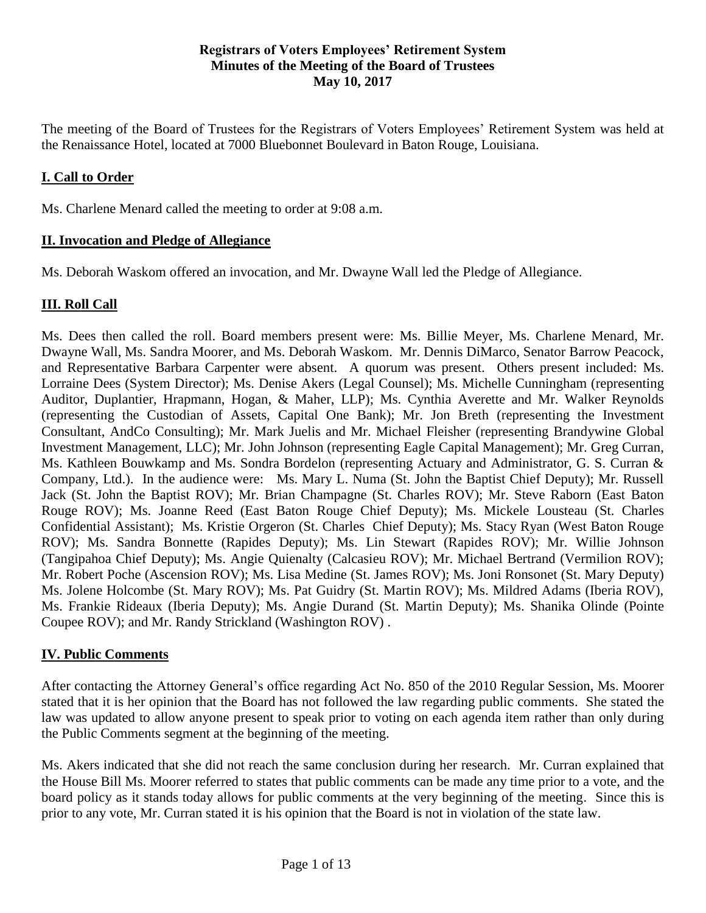#### **Registrars of Voters Employees' Retirement System Minutes of the Meeting of the Board of Trustees May 10, 2017**

The meeting of the Board of Trustees for the Registrars of Voters Employees' Retirement System was held at the Renaissance Hotel, located at 7000 Bluebonnet Boulevard in Baton Rouge, Louisiana.

## **I. Call to Order**

Ms. Charlene Menard called the meeting to order at 9:08 a.m.

#### **II. Invocation and Pledge of Allegiance**

Ms. Deborah Waskom offered an invocation, and Mr. Dwayne Wall led the Pledge of Allegiance.

### **III. Roll Call**

Ms. Dees then called the roll. Board members present were: Ms. Billie Meyer, Ms. Charlene Menard, Mr. Dwayne Wall, Ms. Sandra Moorer, and Ms. Deborah Waskom. Mr. Dennis DiMarco, Senator Barrow Peacock, and Representative Barbara Carpenter were absent. A quorum was present. Others present included: Ms. Lorraine Dees (System Director); Ms. Denise Akers (Legal Counsel); Ms. Michelle Cunningham (representing Auditor, Duplantier, Hrapmann, Hogan, & Maher, LLP); Ms. Cynthia Averette and Mr. Walker Reynolds (representing the Custodian of Assets, Capital One Bank); Mr. Jon Breth (representing the Investment Consultant, AndCo Consulting); Mr. Mark Juelis and Mr. Michael Fleisher (representing Brandywine Global Investment Management, LLC); Mr. John Johnson (representing Eagle Capital Management); Mr. Greg Curran, Ms. Kathleen Bouwkamp and Ms. Sondra Bordelon (representing Actuary and Administrator, G. S. Curran & Company, Ltd.). In the audience were: Ms. Mary L. Numa (St. John the Baptist Chief Deputy); Mr. Russell Jack (St. John the Baptist ROV); Mr. Brian Champagne (St. Charles ROV); Mr. Steve Raborn (East Baton Rouge ROV); Ms. Joanne Reed (East Baton Rouge Chief Deputy); Ms. Mickele Lousteau (St. Charles Confidential Assistant); Ms. Kristie Orgeron (St. Charles Chief Deputy); Ms. Stacy Ryan (West Baton Rouge ROV); Ms. Sandra Bonnette (Rapides Deputy); Ms. Lin Stewart (Rapides ROV); Mr. Willie Johnson (Tangipahoa Chief Deputy); Ms. Angie Quienalty (Calcasieu ROV); Mr. Michael Bertrand (Vermilion ROV); Mr. Robert Poche (Ascension ROV); Ms. Lisa Medine (St. James ROV); Ms. Joni Ronsonet (St. Mary Deputy) Ms. Jolene Holcombe (St. Mary ROV); Ms. Pat Guidry (St. Martin ROV); Ms. Mildred Adams (Iberia ROV), Ms. Frankie Rideaux (Iberia Deputy); Ms. Angie Durand (St. Martin Deputy); Ms. Shanika Olinde (Pointe Coupee ROV); and Mr. Randy Strickland (Washington ROV) .

### **IV. Public Comments**

After contacting the Attorney General's office regarding Act No. 850 of the 2010 Regular Session, Ms. Moorer stated that it is her opinion that the Board has not followed the law regarding public comments. She stated the law was updated to allow anyone present to speak prior to voting on each agenda item rather than only during the Public Comments segment at the beginning of the meeting.

Ms. Akers indicated that she did not reach the same conclusion during her research. Mr. Curran explained that the House Bill Ms. Moorer referred to states that public comments can be made any time prior to a vote, and the board policy as it stands today allows for public comments at the very beginning of the meeting. Since this is prior to any vote, Mr. Curran stated it is his opinion that the Board is not in violation of the state law.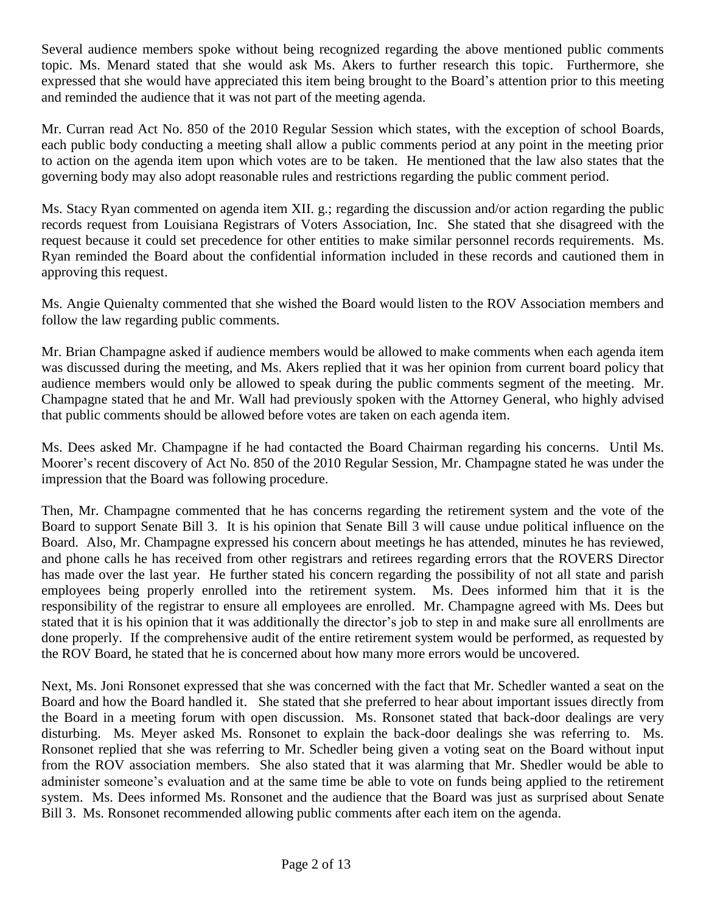Several audience members spoke without being recognized regarding the above mentioned public comments topic. Ms. Menard stated that she would ask Ms. Akers to further research this topic. Furthermore, she expressed that she would have appreciated this item being brought to the Board's attention prior to this meeting and reminded the audience that it was not part of the meeting agenda.

Mr. Curran read Act No. 850 of the 2010 Regular Session which states, with the exception of school Boards, each public body conducting a meeting shall allow a public comments period at any point in the meeting prior to action on the agenda item upon which votes are to be taken. He mentioned that the law also states that the governing body may also adopt reasonable rules and restrictions regarding the public comment period.

Ms. Stacy Ryan commented on agenda item XII. g.; regarding the discussion and/or action regarding the public records request from Louisiana Registrars of Voters Association, Inc. She stated that she disagreed with the request because it could set precedence for other entities to make similar personnel records requirements. Ms. Ryan reminded the Board about the confidential information included in these records and cautioned them in approving this request.

Ms. Angie Quienalty commented that she wished the Board would listen to the ROV Association members and follow the law regarding public comments.

Mr. Brian Champagne asked if audience members would be allowed to make comments when each agenda item was discussed during the meeting, and Ms. Akers replied that it was her opinion from current board policy that audience members would only be allowed to speak during the public comments segment of the meeting. Mr. Champagne stated that he and Mr. Wall had previously spoken with the Attorney General, who highly advised that public comments should be allowed before votes are taken on each agenda item.

Ms. Dees asked Mr. Champagne if he had contacted the Board Chairman regarding his concerns. Until Ms. Moorer's recent discovery of Act No. 850 of the 2010 Regular Session, Mr. Champagne stated he was under the impression that the Board was following procedure.

Then, Mr. Champagne commented that he has concerns regarding the retirement system and the vote of the Board to support Senate Bill 3. It is his opinion that Senate Bill 3 will cause undue political influence on the Board. Also, Mr. Champagne expressed his concern about meetings he has attended, minutes he has reviewed, and phone calls he has received from other registrars and retirees regarding errors that the ROVERS Director has made over the last year. He further stated his concern regarding the possibility of not all state and parish employees being properly enrolled into the retirement system. Ms. Dees informed him that it is the responsibility of the registrar to ensure all employees are enrolled. Mr. Champagne agreed with Ms. Dees but stated that it is his opinion that it was additionally the director's job to step in and make sure all enrollments are done properly. If the comprehensive audit of the entire retirement system would be performed, as requested by the ROV Board, he stated that he is concerned about how many more errors would be uncovered.

Next, Ms. Joni Ronsonet expressed that she was concerned with the fact that Mr. Schedler wanted a seat on the Board and how the Board handled it. She stated that she preferred to hear about important issues directly from the Board in a meeting forum with open discussion. Ms. Ronsonet stated that back-door dealings are very disturbing. Ms. Meyer asked Ms. Ronsonet to explain the back-door dealings she was referring to. Ms. Ronsonet replied that she was referring to Mr. Schedler being given a voting seat on the Board without input from the ROV association members. She also stated that it was alarming that Mr. Shedler would be able to administer someone's evaluation and at the same time be able to vote on funds being applied to the retirement system. Ms. Dees informed Ms. Ronsonet and the audience that the Board was just as surprised about Senate Bill 3. Ms. Ronsonet recommended allowing public comments after each item on the agenda.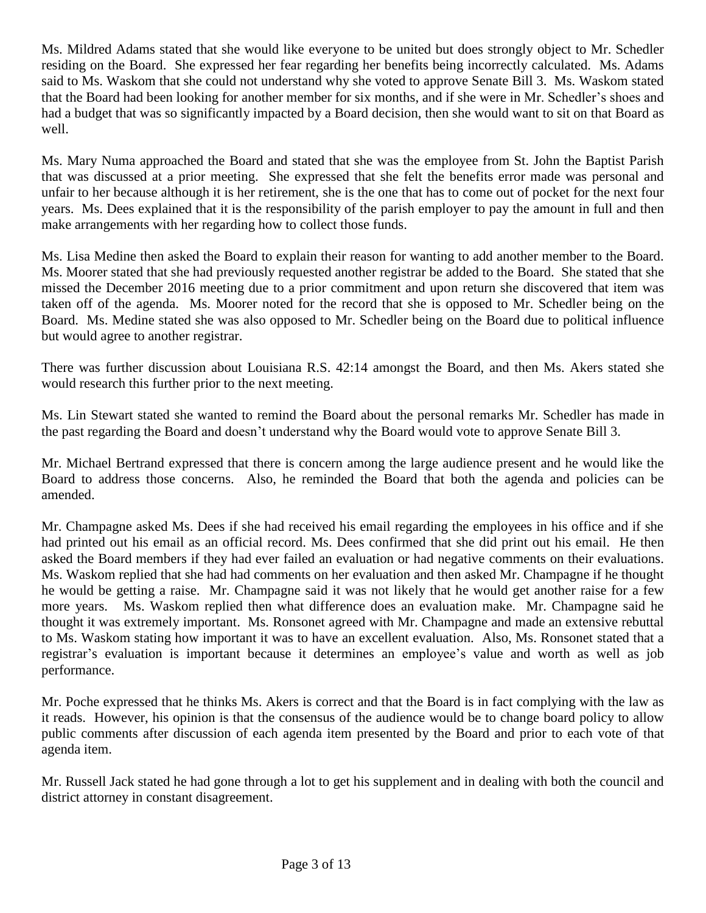Ms. Mildred Adams stated that she would like everyone to be united but does strongly object to Mr. Schedler residing on the Board. She expressed her fear regarding her benefits being incorrectly calculated. Ms. Adams said to Ms. Waskom that she could not understand why she voted to approve Senate Bill 3. Ms. Waskom stated that the Board had been looking for another member for six months, and if she were in Mr. Schedler's shoes and had a budget that was so significantly impacted by a Board decision, then she would want to sit on that Board as well.

Ms. Mary Numa approached the Board and stated that she was the employee from St. John the Baptist Parish that was discussed at a prior meeting. She expressed that she felt the benefits error made was personal and unfair to her because although it is her retirement, she is the one that has to come out of pocket for the next four years. Ms. Dees explained that it is the responsibility of the parish employer to pay the amount in full and then make arrangements with her regarding how to collect those funds.

Ms. Lisa Medine then asked the Board to explain their reason for wanting to add another member to the Board. Ms. Moorer stated that she had previously requested another registrar be added to the Board. She stated that she missed the December 2016 meeting due to a prior commitment and upon return she discovered that item was taken off of the agenda. Ms. Moorer noted for the record that she is opposed to Mr. Schedler being on the Board. Ms. Medine stated she was also opposed to Mr. Schedler being on the Board due to political influence but would agree to another registrar.

There was further discussion about Louisiana R.S. 42:14 amongst the Board, and then Ms. Akers stated she would research this further prior to the next meeting.

Ms. Lin Stewart stated she wanted to remind the Board about the personal remarks Mr. Schedler has made in the past regarding the Board and doesn't understand why the Board would vote to approve Senate Bill 3.

Mr. Michael Bertrand expressed that there is concern among the large audience present and he would like the Board to address those concerns. Also, he reminded the Board that both the agenda and policies can be amended.

Mr. Champagne asked Ms. Dees if she had received his email regarding the employees in his office and if she had printed out his email as an official record. Ms. Dees confirmed that she did print out his email. He then asked the Board members if they had ever failed an evaluation or had negative comments on their evaluations. Ms. Waskom replied that she had had comments on her evaluation and then asked Mr. Champagne if he thought he would be getting a raise. Mr. Champagne said it was not likely that he would get another raise for a few more years. Ms. Waskom replied then what difference does an evaluation make. Mr. Champagne said he thought it was extremely important. Ms. Ronsonet agreed with Mr. Champagne and made an extensive rebuttal to Ms. Waskom stating how important it was to have an excellent evaluation. Also, Ms. Ronsonet stated that a registrar's evaluation is important because it determines an employee's value and worth as well as job performance.

Mr. Poche expressed that he thinks Ms. Akers is correct and that the Board is in fact complying with the law as it reads. However, his opinion is that the consensus of the audience would be to change board policy to allow public comments after discussion of each agenda item presented by the Board and prior to each vote of that agenda item.

Mr. Russell Jack stated he had gone through a lot to get his supplement and in dealing with both the council and district attorney in constant disagreement.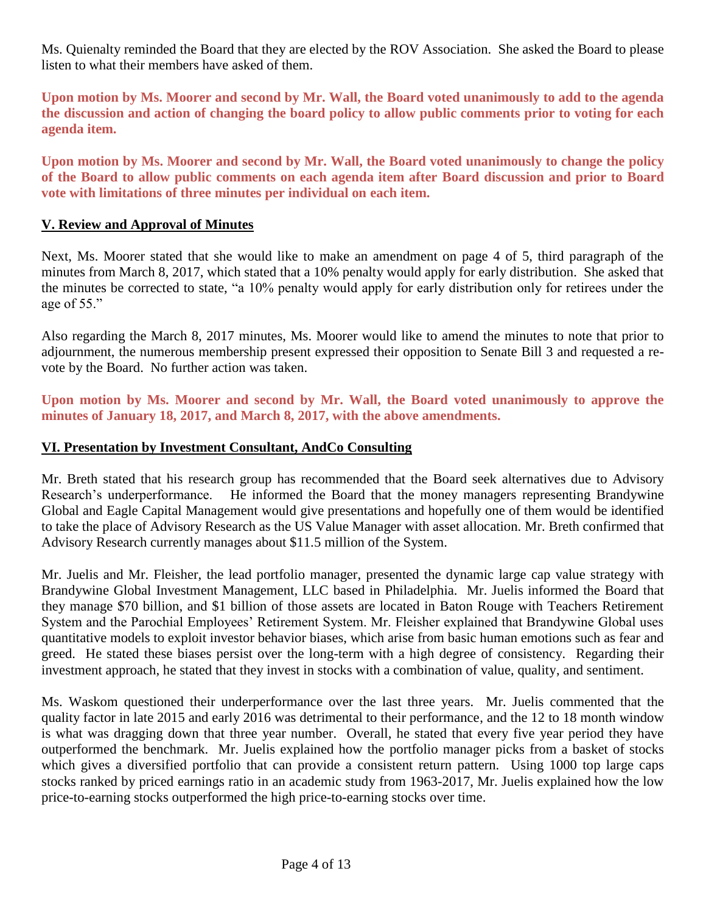Ms. Quienalty reminded the Board that they are elected by the ROV Association. She asked the Board to please listen to what their members have asked of them.

**Upon motion by Ms. Moorer and second by Mr. Wall, the Board voted unanimously to add to the agenda the discussion and action of changing the board policy to allow public comments prior to voting for each agenda item.** 

**Upon motion by Ms. Moorer and second by Mr. Wall, the Board voted unanimously to change the policy of the Board to allow public comments on each agenda item after Board discussion and prior to Board vote with limitations of three minutes per individual on each item.**

#### **V. Review and Approval of Minutes**

Next, Ms. Moorer stated that she would like to make an amendment on page 4 of 5, third paragraph of the minutes from March 8, 2017, which stated that a 10% penalty would apply for early distribution. She asked that the minutes be corrected to state, "a 10% penalty would apply for early distribution only for retirees under the age of 55."

Also regarding the March 8, 2017 minutes, Ms. Moorer would like to amend the minutes to note that prior to adjournment, the numerous membership present expressed their opposition to Senate Bill 3 and requested a revote by the Board. No further action was taken.

**Upon motion by Ms. Moorer and second by Mr. Wall, the Board voted unanimously to approve the minutes of January 18, 2017, and March 8, 2017, with the above amendments.** 

#### **VI. Presentation by Investment Consultant, AndCo Consulting**

Mr. Breth stated that his research group has recommended that the Board seek alternatives due to Advisory Research's underperformance. He informed the Board that the money managers representing Brandywine Global and Eagle Capital Management would give presentations and hopefully one of them would be identified to take the place of Advisory Research as the US Value Manager with asset allocation. Mr. Breth confirmed that Advisory Research currently manages about \$11.5 million of the System.

Mr. Juelis and Mr. Fleisher, the lead portfolio manager, presented the dynamic large cap value strategy with Brandywine Global Investment Management, LLC based in Philadelphia. Mr. Juelis informed the Board that they manage \$70 billion, and \$1 billion of those assets are located in Baton Rouge with Teachers Retirement System and the Parochial Employees' Retirement System. Mr. Fleisher explained that Brandywine Global uses quantitative models to exploit investor behavior biases, which arise from basic human emotions such as fear and greed. He stated these biases persist over the long-term with a high degree of consistency. Regarding their investment approach, he stated that they invest in stocks with a combination of value, quality, and sentiment.

Ms. Waskom questioned their underperformance over the last three years. Mr. Juelis commented that the quality factor in late 2015 and early 2016 was detrimental to their performance, and the 12 to 18 month window is what was dragging down that three year number. Overall, he stated that every five year period they have outperformed the benchmark. Mr. Juelis explained how the portfolio manager picks from a basket of stocks which gives a diversified portfolio that can provide a consistent return pattern. Using 1000 top large caps stocks ranked by priced earnings ratio in an academic study from 1963-2017, Mr. Juelis explained how the low price-to-earning stocks outperformed the high price-to-earning stocks over time.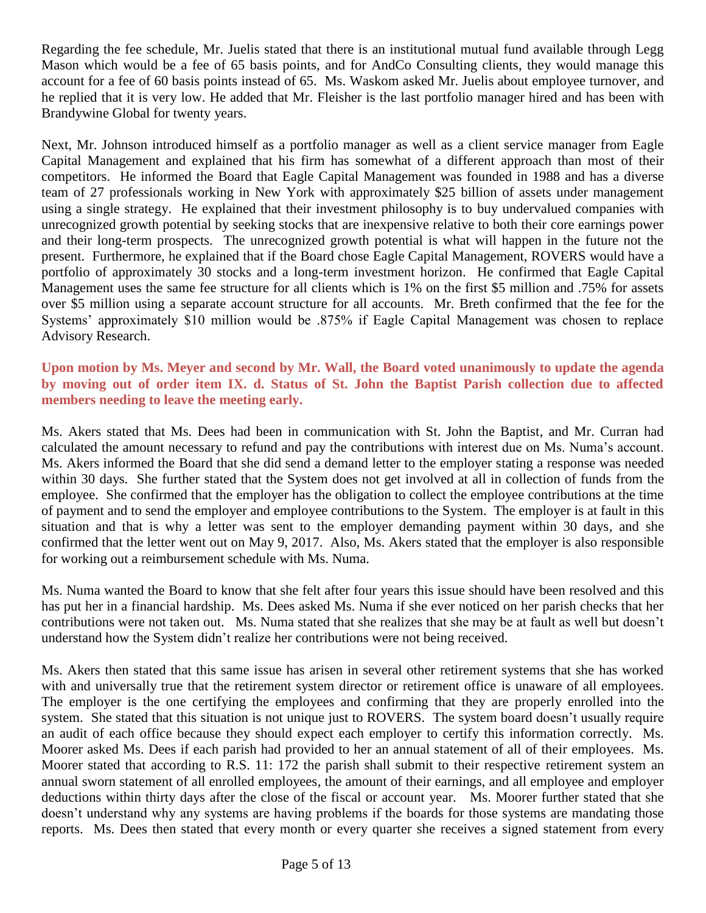Regarding the fee schedule, Mr. Juelis stated that there is an institutional mutual fund available through Legg Mason which would be a fee of 65 basis points, and for AndCo Consulting clients, they would manage this account for a fee of 60 basis points instead of 65. Ms. Waskom asked Mr. Juelis about employee turnover, and he replied that it is very low. He added that Mr. Fleisher is the last portfolio manager hired and has been with Brandywine Global for twenty years.

Next, Mr. Johnson introduced himself as a portfolio manager as well as a client service manager from Eagle Capital Management and explained that his firm has somewhat of a different approach than most of their competitors. He informed the Board that Eagle Capital Management was founded in 1988 and has a diverse team of 27 professionals working in New York with approximately \$25 billion of assets under management using a single strategy. He explained that their investment philosophy is to buy undervalued companies with unrecognized growth potential by seeking stocks that are inexpensive relative to both their core earnings power and their long-term prospects. The unrecognized growth potential is what will happen in the future not the present. Furthermore, he explained that if the Board chose Eagle Capital Management, ROVERS would have a portfolio of approximately 30 stocks and a long-term investment horizon. He confirmed that Eagle Capital Management uses the same fee structure for all clients which is 1% on the first \$5 million and .75% for assets over \$5 million using a separate account structure for all accounts. Mr. Breth confirmed that the fee for the Systems' approximately \$10 million would be .875% if Eagle Capital Management was chosen to replace Advisory Research.

### **Upon motion by Ms. Meyer and second by Mr. Wall, the Board voted unanimously to update the agenda by moving out of order item IX. d. Status of St. John the Baptist Parish collection due to affected members needing to leave the meeting early.**

Ms. Akers stated that Ms. Dees had been in communication with St. John the Baptist, and Mr. Curran had calculated the amount necessary to refund and pay the contributions with interest due on Ms. Numa's account. Ms. Akers informed the Board that she did send a demand letter to the employer stating a response was needed within 30 days. She further stated that the System does not get involved at all in collection of funds from the employee. She confirmed that the employer has the obligation to collect the employee contributions at the time of payment and to send the employer and employee contributions to the System. The employer is at fault in this situation and that is why a letter was sent to the employer demanding payment within 30 days, and she confirmed that the letter went out on May 9, 2017. Also, Ms. Akers stated that the employer is also responsible for working out a reimbursement schedule with Ms. Numa.

Ms. Numa wanted the Board to know that she felt after four years this issue should have been resolved and this has put her in a financial hardship. Ms. Dees asked Ms. Numa if she ever noticed on her parish checks that her contributions were not taken out. Ms. Numa stated that she realizes that she may be at fault as well but doesn't understand how the System didn't realize her contributions were not being received.

Ms. Akers then stated that this same issue has arisen in several other retirement systems that she has worked with and universally true that the retirement system director or retirement office is unaware of all employees. The employer is the one certifying the employees and confirming that they are properly enrolled into the system. She stated that this situation is not unique just to ROVERS. The system board doesn't usually require an audit of each office because they should expect each employer to certify this information correctly. Ms. Moorer asked Ms. Dees if each parish had provided to her an annual statement of all of their employees. Ms. Moorer stated that according to R.S. 11: 172 the parish shall submit to their respective retirement system an annual sworn statement of all enrolled employees, the amount of their earnings, and all employee and employer deductions within thirty days after the close of the fiscal or account year. Ms. Moorer further stated that she doesn't understand why any systems are having problems if the boards for those systems are mandating those reports. Ms. Dees then stated that every month or every quarter she receives a signed statement from every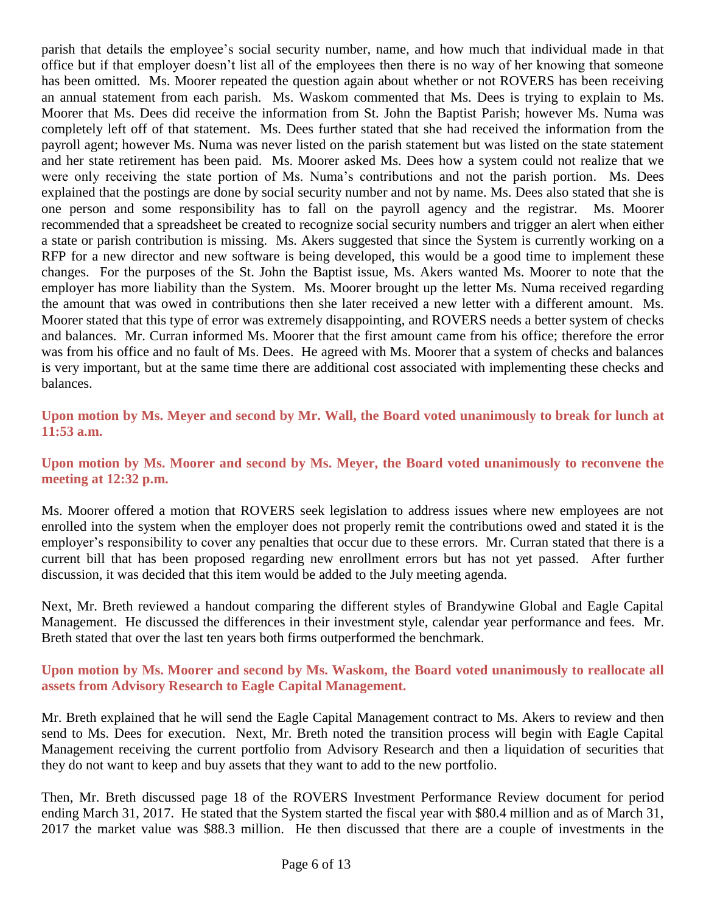parish that details the employee's social security number, name, and how much that individual made in that office but if that employer doesn't list all of the employees then there is no way of her knowing that someone has been omitted. Ms. Moorer repeated the question again about whether or not ROVERS has been receiving an annual statement from each parish. Ms. Waskom commented that Ms. Dees is trying to explain to Ms. Moorer that Ms. Dees did receive the information from St. John the Baptist Parish; however Ms. Numa was completely left off of that statement. Ms. Dees further stated that she had received the information from the payroll agent; however Ms. Numa was never listed on the parish statement but was listed on the state statement and her state retirement has been paid. Ms. Moorer asked Ms. Dees how a system could not realize that we were only receiving the state portion of Ms. Numa's contributions and not the parish portion. Ms. Dees explained that the postings are done by social security number and not by name. Ms. Dees also stated that she is one person and some responsibility has to fall on the payroll agency and the registrar. Ms. Moorer recommended that a spreadsheet be created to recognize social security numbers and trigger an alert when either a state or parish contribution is missing. Ms. Akers suggested that since the System is currently working on a RFP for a new director and new software is being developed, this would be a good time to implement these changes. For the purposes of the St. John the Baptist issue, Ms. Akers wanted Ms. Moorer to note that the employer has more liability than the System. Ms. Moorer brought up the letter Ms. Numa received regarding the amount that was owed in contributions then she later received a new letter with a different amount. Ms. Moorer stated that this type of error was extremely disappointing, and ROVERS needs a better system of checks and balances. Mr. Curran informed Ms. Moorer that the first amount came from his office; therefore the error was from his office and no fault of Ms. Dees. He agreed with Ms. Moorer that a system of checks and balances is very important, but at the same time there are additional cost associated with implementing these checks and balances.

**Upon motion by Ms. Meyer and second by Mr. Wall, the Board voted unanimously to break for lunch at 11:53 a.m.**

**Upon motion by Ms. Moorer and second by Ms. Meyer, the Board voted unanimously to reconvene the meeting at 12:32 p.m.**

Ms. Moorer offered a motion that ROVERS seek legislation to address issues where new employees are not enrolled into the system when the employer does not properly remit the contributions owed and stated it is the employer's responsibility to cover any penalties that occur due to these errors. Mr. Curran stated that there is a current bill that has been proposed regarding new enrollment errors but has not yet passed. After further discussion, it was decided that this item would be added to the July meeting agenda.

Next, Mr. Breth reviewed a handout comparing the different styles of Brandywine Global and Eagle Capital Management. He discussed the differences in their investment style, calendar year performance and fees. Mr. Breth stated that over the last ten years both firms outperformed the benchmark.

### **Upon motion by Ms. Moorer and second by Ms. Waskom, the Board voted unanimously to reallocate all assets from Advisory Research to Eagle Capital Management.**

Mr. Breth explained that he will send the Eagle Capital Management contract to Ms. Akers to review and then send to Ms. Dees for execution. Next, Mr. Breth noted the transition process will begin with Eagle Capital Management receiving the current portfolio from Advisory Research and then a liquidation of securities that they do not want to keep and buy assets that they want to add to the new portfolio.

Then, Mr. Breth discussed page 18 of the ROVERS Investment Performance Review document for period ending March 31, 2017. He stated that the System started the fiscal year with \$80.4 million and as of March 31, 2017 the market value was \$88.3 million. He then discussed that there are a couple of investments in the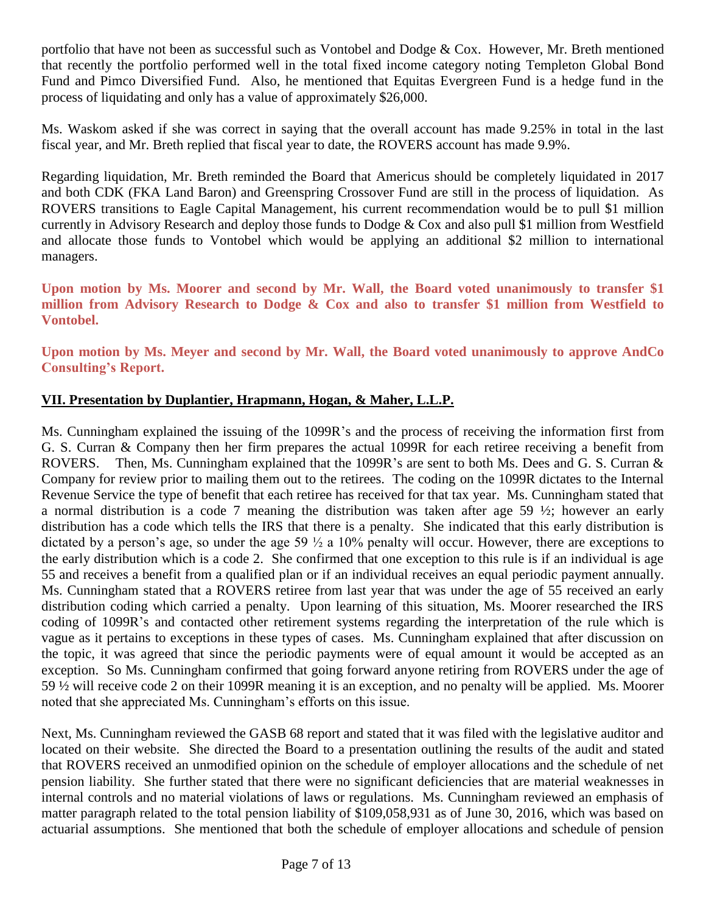portfolio that have not been as successful such as Vontobel and Dodge & Cox. However, Mr. Breth mentioned that recently the portfolio performed well in the total fixed income category noting Templeton Global Bond Fund and Pimco Diversified Fund. Also, he mentioned that Equitas Evergreen Fund is a hedge fund in the process of liquidating and only has a value of approximately \$26,000.

Ms. Waskom asked if she was correct in saying that the overall account has made 9.25% in total in the last fiscal year, and Mr. Breth replied that fiscal year to date, the ROVERS account has made 9.9%.

Regarding liquidation, Mr. Breth reminded the Board that Americus should be completely liquidated in 2017 and both CDK (FKA Land Baron) and Greenspring Crossover Fund are still in the process of liquidation. As ROVERS transitions to Eagle Capital Management, his current recommendation would be to pull \$1 million currently in Advisory Research and deploy those funds to Dodge & Cox and also pull \$1 million from Westfield and allocate those funds to Vontobel which would be applying an additional \$2 million to international managers.

**Upon motion by Ms. Moorer and second by Mr. Wall, the Board voted unanimously to transfer \$1 million from Advisory Research to Dodge & Cox and also to transfer \$1 million from Westfield to Vontobel.**

**Upon motion by Ms. Meyer and second by Mr. Wall, the Board voted unanimously to approve AndCo Consulting's Report.**

# **VII. Presentation by Duplantier, Hrapmann, Hogan, & Maher, L.L.P.**

Ms. Cunningham explained the issuing of the 1099R's and the process of receiving the information first from G. S. Curran & Company then her firm prepares the actual 1099R for each retiree receiving a benefit from ROVERS. Then, Ms. Cunningham explained that the 1099R's are sent to both Ms. Dees and G. S. Curran & Company for review prior to mailing them out to the retirees. The coding on the 1099R dictates to the Internal Revenue Service the type of benefit that each retiree has received for that tax year. Ms. Cunningham stated that a normal distribution is a code 7 meaning the distribution was taken after age 59  $\frac{1}{2}$ ; however an early distribution has a code which tells the IRS that there is a penalty. She indicated that this early distribution is dictated by a person's age, so under the age 59 ½ a 10% penalty will occur. However, there are exceptions to the early distribution which is a code 2. She confirmed that one exception to this rule is if an individual is age 55 and receives a benefit from a qualified plan or if an individual receives an equal periodic payment annually. Ms. Cunningham stated that a ROVERS retiree from last year that was under the age of 55 received an early distribution coding which carried a penalty. Upon learning of this situation, Ms. Moorer researched the IRS coding of 1099R's and contacted other retirement systems regarding the interpretation of the rule which is vague as it pertains to exceptions in these types of cases. Ms. Cunningham explained that after discussion on the topic, it was agreed that since the periodic payments were of equal amount it would be accepted as an exception. So Ms. Cunningham confirmed that going forward anyone retiring from ROVERS under the age of 59 ½ will receive code 2 on their 1099R meaning it is an exception, and no penalty will be applied. Ms. Moorer noted that she appreciated Ms. Cunningham's efforts on this issue.

Next, Ms. Cunningham reviewed the GASB 68 report and stated that it was filed with the legislative auditor and located on their website. She directed the Board to a presentation outlining the results of the audit and stated that ROVERS received an unmodified opinion on the schedule of employer allocations and the schedule of net pension liability. She further stated that there were no significant deficiencies that are material weaknesses in internal controls and no material violations of laws or regulations. Ms. Cunningham reviewed an emphasis of matter paragraph related to the total pension liability of \$109,058,931 as of June 30, 2016, which was based on actuarial assumptions. She mentioned that both the schedule of employer allocations and schedule of pension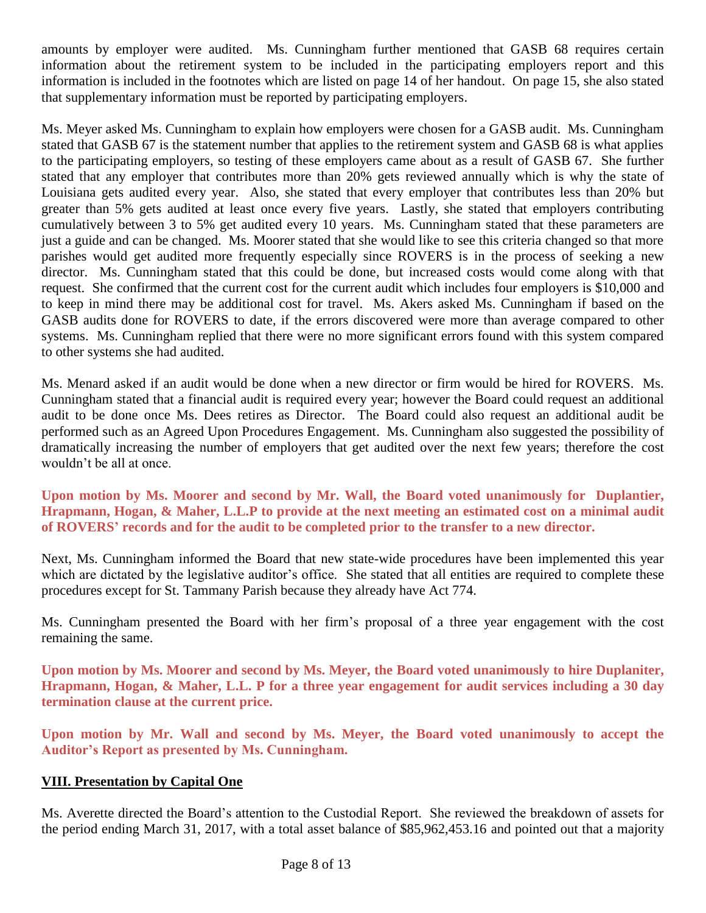amounts by employer were audited. Ms. Cunningham further mentioned that GASB 68 requires certain information about the retirement system to be included in the participating employers report and this information is included in the footnotes which are listed on page 14 of her handout. On page 15, she also stated that supplementary information must be reported by participating employers.

Ms. Meyer asked Ms. Cunningham to explain how employers were chosen for a GASB audit. Ms. Cunningham stated that GASB 67 is the statement number that applies to the retirement system and GASB 68 is what applies to the participating employers, so testing of these employers came about as a result of GASB 67. She further stated that any employer that contributes more than 20% gets reviewed annually which is why the state of Louisiana gets audited every year. Also, she stated that every employer that contributes less than 20% but greater than 5% gets audited at least once every five years. Lastly, she stated that employers contributing cumulatively between 3 to 5% get audited every 10 years. Ms. Cunningham stated that these parameters are just a guide and can be changed. Ms. Moorer stated that she would like to see this criteria changed so that more parishes would get audited more frequently especially since ROVERS is in the process of seeking a new director. Ms. Cunningham stated that this could be done, but increased costs would come along with that request. She confirmed that the current cost for the current audit which includes four employers is \$10,000 and to keep in mind there may be additional cost for travel. Ms. Akers asked Ms. Cunningham if based on the GASB audits done for ROVERS to date, if the errors discovered were more than average compared to other systems. Ms. Cunningham replied that there were no more significant errors found with this system compared to other systems she had audited.

Ms. Menard asked if an audit would be done when a new director or firm would be hired for ROVERS. Ms. Cunningham stated that a financial audit is required every year; however the Board could request an additional audit to be done once Ms. Dees retires as Director. The Board could also request an additional audit be performed such as an Agreed Upon Procedures Engagement. Ms. Cunningham also suggested the possibility of dramatically increasing the number of employers that get audited over the next few years; therefore the cost wouldn't be all at once.

**Upon motion by Ms. Moorer and second by Mr. Wall, the Board voted unanimously for Duplantier, Hrapmann, Hogan, & Maher, L.L.P to provide at the next meeting an estimated cost on a minimal audit of ROVERS' records and for the audit to be completed prior to the transfer to a new director.**

Next, Ms. Cunningham informed the Board that new state-wide procedures have been implemented this year which are dictated by the legislative auditor's office. She stated that all entities are required to complete these procedures except for St. Tammany Parish because they already have Act 774.

Ms. Cunningham presented the Board with her firm's proposal of a three year engagement with the cost remaining the same.

**Upon motion by Ms. Moorer and second by Ms. Meyer, the Board voted unanimously to hire Duplaniter, Hrapmann, Hogan, & Maher, L.L. P for a three year engagement for audit services including a 30 day termination clause at the current price.**

**Upon motion by Mr. Wall and second by Ms. Meyer, the Board voted unanimously to accept the Auditor's Report as presented by Ms. Cunningham.**

### **VIII. Presentation by Capital One**

Ms. Averette directed the Board's attention to the Custodial Report. She reviewed the breakdown of assets for the period ending March 31, 2017, with a total asset balance of \$85,962,453.16 and pointed out that a majority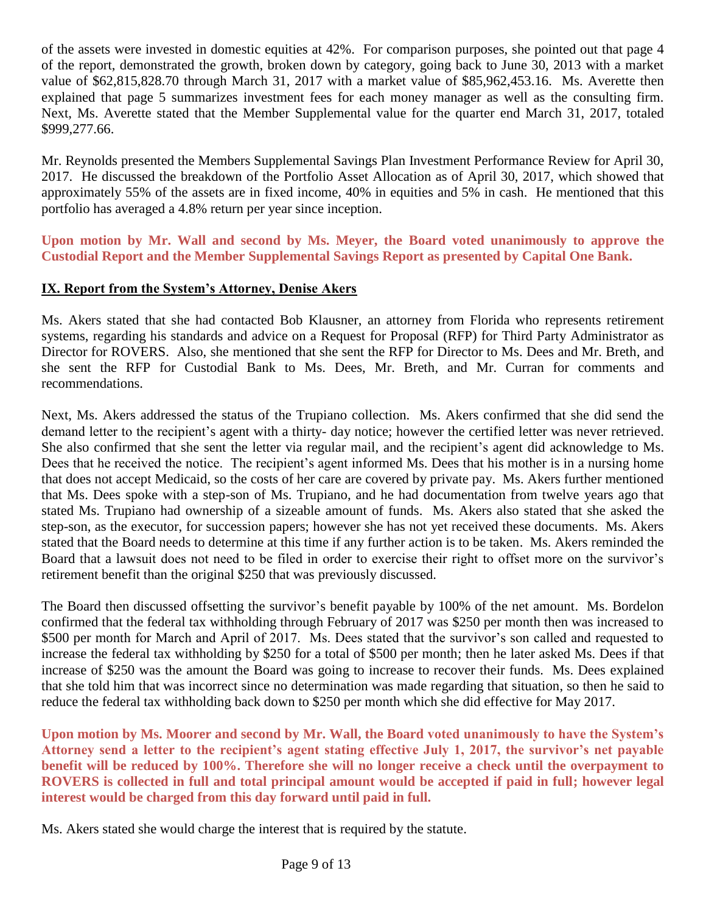of the assets were invested in domestic equities at 42%. For comparison purposes, she pointed out that page 4 of the report, demonstrated the growth, broken down by category, going back to June 30, 2013 with a market value of \$62,815,828.70 through March 31, 2017 with a market value of \$85,962,453.16. Ms. Averette then explained that page 5 summarizes investment fees for each money manager as well as the consulting firm. Next, Ms. Averette stated that the Member Supplemental value for the quarter end March 31, 2017, totaled \$999,277.66.

Mr. Reynolds presented the Members Supplemental Savings Plan Investment Performance Review for April 30, 2017. He discussed the breakdown of the Portfolio Asset Allocation as of April 30, 2017, which showed that approximately 55% of the assets are in fixed income, 40% in equities and 5% in cash. He mentioned that this portfolio has averaged a 4.8% return per year since inception.

**Upon motion by Mr. Wall and second by Ms. Meyer, the Board voted unanimously to approve the Custodial Report and the Member Supplemental Savings Report as presented by Capital One Bank.**

### **IX. Report from the System's Attorney, Denise Akers**

Ms. Akers stated that she had contacted Bob Klausner, an attorney from Florida who represents retirement systems, regarding his standards and advice on a Request for Proposal (RFP) for Third Party Administrator as Director for ROVERS. Also, she mentioned that she sent the RFP for Director to Ms. Dees and Mr. Breth, and she sent the RFP for Custodial Bank to Ms. Dees, Mr. Breth, and Mr. Curran for comments and recommendations.

Next, Ms. Akers addressed the status of the Trupiano collection. Ms. Akers confirmed that she did send the demand letter to the recipient's agent with a thirty- day notice; however the certified letter was never retrieved. She also confirmed that she sent the letter via regular mail, and the recipient's agent did acknowledge to Ms. Dees that he received the notice. The recipient's agent informed Ms. Dees that his mother is in a nursing home that does not accept Medicaid, so the costs of her care are covered by private pay. Ms. Akers further mentioned that Ms. Dees spoke with a step-son of Ms. Trupiano, and he had documentation from twelve years ago that stated Ms. Trupiano had ownership of a sizeable amount of funds. Ms. Akers also stated that she asked the step-son, as the executor, for succession papers; however she has not yet received these documents. Ms. Akers stated that the Board needs to determine at this time if any further action is to be taken. Ms. Akers reminded the Board that a lawsuit does not need to be filed in order to exercise their right to offset more on the survivor's retirement benefit than the original \$250 that was previously discussed.

The Board then discussed offsetting the survivor's benefit payable by 100% of the net amount. Ms. Bordelon confirmed that the federal tax withholding through February of 2017 was \$250 per month then was increased to \$500 per month for March and April of 2017. Ms. Dees stated that the survivor's son called and requested to increase the federal tax withholding by \$250 for a total of \$500 per month; then he later asked Ms. Dees if that increase of \$250 was the amount the Board was going to increase to recover their funds. Ms. Dees explained that she told him that was incorrect since no determination was made regarding that situation, so then he said to reduce the federal tax withholding back down to \$250 per month which she did effective for May 2017.

**Upon motion by Ms. Moorer and second by Mr. Wall, the Board voted unanimously to have the System's Attorney send a letter to the recipient's agent stating effective July 1, 2017, the survivor's net payable benefit will be reduced by 100%. Therefore she will no longer receive a check until the overpayment to ROVERS is collected in full and total principal amount would be accepted if paid in full; however legal interest would be charged from this day forward until paid in full.**

Ms. Akers stated she would charge the interest that is required by the statute.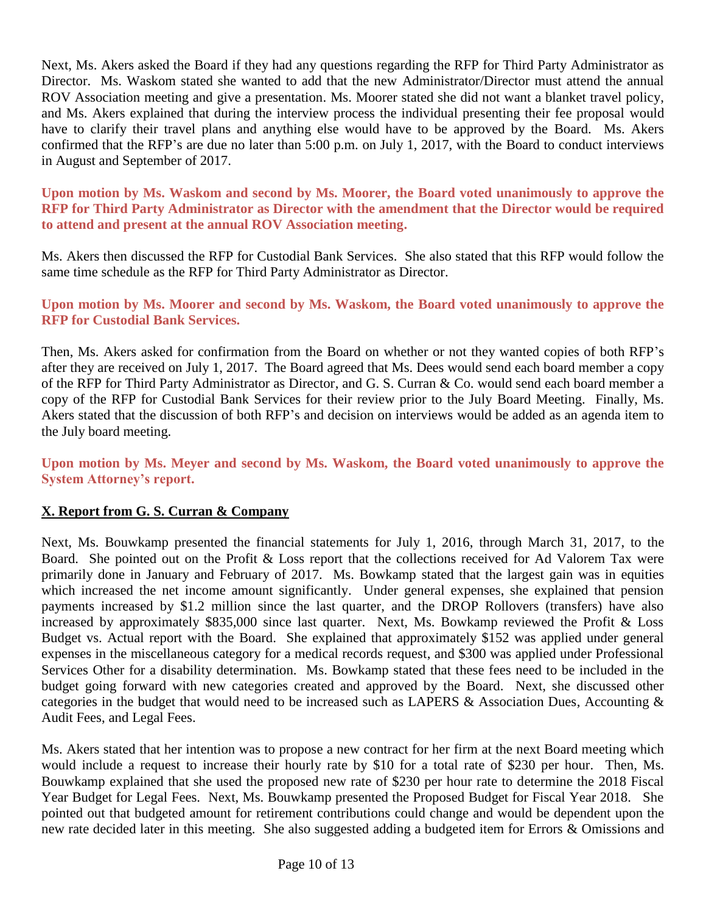Next, Ms. Akers asked the Board if they had any questions regarding the RFP for Third Party Administrator as Director. Ms. Waskom stated she wanted to add that the new Administrator/Director must attend the annual ROV Association meeting and give a presentation. Ms. Moorer stated she did not want a blanket travel policy, and Ms. Akers explained that during the interview process the individual presenting their fee proposal would have to clarify their travel plans and anything else would have to be approved by the Board. Ms. Akers confirmed that the RFP's are due no later than 5:00 p.m. on July 1, 2017, with the Board to conduct interviews in August and September of 2017.

**Upon motion by Ms. Waskom and second by Ms. Moorer, the Board voted unanimously to approve the RFP for Third Party Administrator as Director with the amendment that the Director would be required to attend and present at the annual ROV Association meeting.**

Ms. Akers then discussed the RFP for Custodial Bank Services. She also stated that this RFP would follow the same time schedule as the RFP for Third Party Administrator as Director.

### **Upon motion by Ms. Moorer and second by Ms. Waskom, the Board voted unanimously to approve the RFP for Custodial Bank Services.**

Then, Ms. Akers asked for confirmation from the Board on whether or not they wanted copies of both RFP's after they are received on July 1, 2017. The Board agreed that Ms. Dees would send each board member a copy of the RFP for Third Party Administrator as Director, and G. S. Curran & Co. would send each board member a copy of the RFP for Custodial Bank Services for their review prior to the July Board Meeting. Finally, Ms. Akers stated that the discussion of both RFP's and decision on interviews would be added as an agenda item to the July board meeting.

**Upon motion by Ms. Meyer and second by Ms. Waskom, the Board voted unanimously to approve the System Attorney's report.**

# **X. Report from G. S. Curran & Company**

Next, Ms. Bouwkamp presented the financial statements for July 1, 2016, through March 31, 2017, to the Board. She pointed out on the Profit & Loss report that the collections received for Ad Valorem Tax were primarily done in January and February of 2017. Ms. Bowkamp stated that the largest gain was in equities which increased the net income amount significantly. Under general expenses, she explained that pension payments increased by \$1.2 million since the last quarter, and the DROP Rollovers (transfers) have also increased by approximately \$835,000 since last quarter. Next, Ms. Bowkamp reviewed the Profit & Loss Budget vs. Actual report with the Board. She explained that approximately \$152 was applied under general expenses in the miscellaneous category for a medical records request, and \$300 was applied under Professional Services Other for a disability determination. Ms. Bowkamp stated that these fees need to be included in the budget going forward with new categories created and approved by the Board. Next, she discussed other categories in the budget that would need to be increased such as LAPERS & Association Dues, Accounting & Audit Fees, and Legal Fees.

Ms. Akers stated that her intention was to propose a new contract for her firm at the next Board meeting which would include a request to increase their hourly rate by \$10 for a total rate of \$230 per hour. Then, Ms. Bouwkamp explained that she used the proposed new rate of \$230 per hour rate to determine the 2018 Fiscal Year Budget for Legal Fees. Next, Ms. Bouwkamp presented the Proposed Budget for Fiscal Year 2018. She pointed out that budgeted amount for retirement contributions could change and would be dependent upon the new rate decided later in this meeting. She also suggested adding a budgeted item for Errors & Omissions and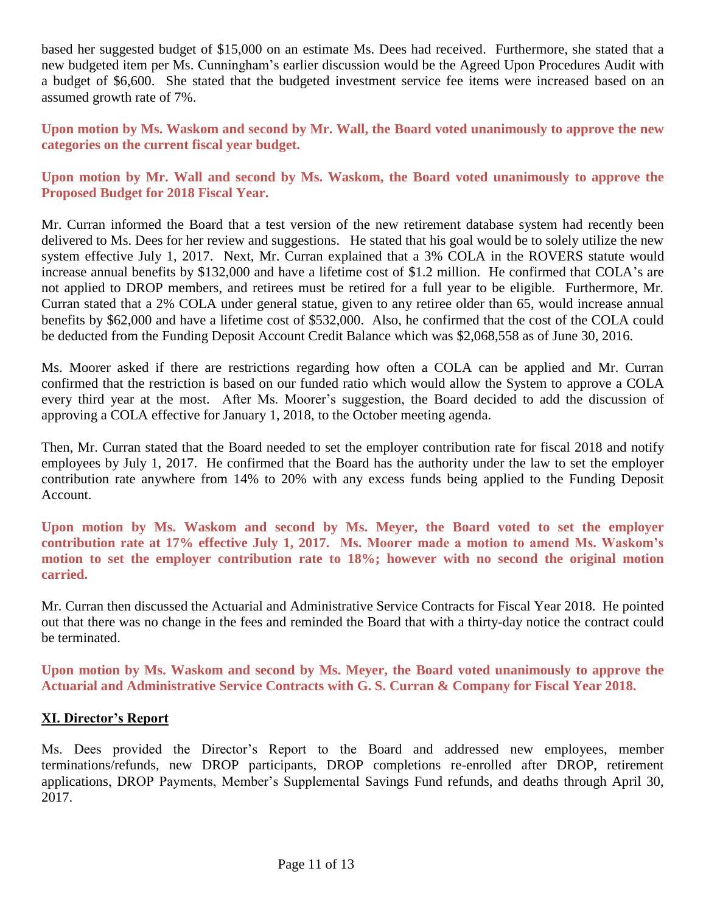based her suggested budget of \$15,000 on an estimate Ms. Dees had received. Furthermore, she stated that a new budgeted item per Ms. Cunningham's earlier discussion would be the Agreed Upon Procedures Audit with a budget of \$6,600. She stated that the budgeted investment service fee items were increased based on an assumed growth rate of 7%.

**Upon motion by Ms. Waskom and second by Mr. Wall, the Board voted unanimously to approve the new categories on the current fiscal year budget.**

**Upon motion by Mr. Wall and second by Ms. Waskom, the Board voted unanimously to approve the Proposed Budget for 2018 Fiscal Year.**

Mr. Curran informed the Board that a test version of the new retirement database system had recently been delivered to Ms. Dees for her review and suggestions. He stated that his goal would be to solely utilize the new system effective July 1, 2017. Next, Mr. Curran explained that a 3% COLA in the ROVERS statute would increase annual benefits by \$132,000 and have a lifetime cost of \$1.2 million. He confirmed that COLA's are not applied to DROP members, and retirees must be retired for a full year to be eligible. Furthermore, Mr. Curran stated that a 2% COLA under general statue, given to any retiree older than 65, would increase annual benefits by \$62,000 and have a lifetime cost of \$532,000. Also, he confirmed that the cost of the COLA could be deducted from the Funding Deposit Account Credit Balance which was \$2,068,558 as of June 30, 2016.

Ms. Moorer asked if there are restrictions regarding how often a COLA can be applied and Mr. Curran confirmed that the restriction is based on our funded ratio which would allow the System to approve a COLA every third year at the most. After Ms. Moorer's suggestion, the Board decided to add the discussion of approving a COLA effective for January 1, 2018, to the October meeting agenda.

Then, Mr. Curran stated that the Board needed to set the employer contribution rate for fiscal 2018 and notify employees by July 1, 2017. He confirmed that the Board has the authority under the law to set the employer contribution rate anywhere from 14% to 20% with any excess funds being applied to the Funding Deposit Account.

**Upon motion by Ms. Waskom and second by Ms. Meyer, the Board voted to set the employer contribution rate at 17% effective July 1, 2017. Ms. Moorer made a motion to amend Ms. Waskom's motion to set the employer contribution rate to 18%; however with no second the original motion carried.** 

Mr. Curran then discussed the Actuarial and Administrative Service Contracts for Fiscal Year 2018. He pointed out that there was no change in the fees and reminded the Board that with a thirty-day notice the contract could be terminated.

**Upon motion by Ms. Waskom and second by Ms. Meyer, the Board voted unanimously to approve the Actuarial and Administrative Service Contracts with G. S. Curran & Company for Fiscal Year 2018.**

### **XI. Director's Report**

Ms. Dees provided the Director's Report to the Board and addressed new employees, member terminations/refunds, new DROP participants, DROP completions re-enrolled after DROP, retirement applications, DROP Payments, Member's Supplemental Savings Fund refunds, and deaths through April 30, 2017.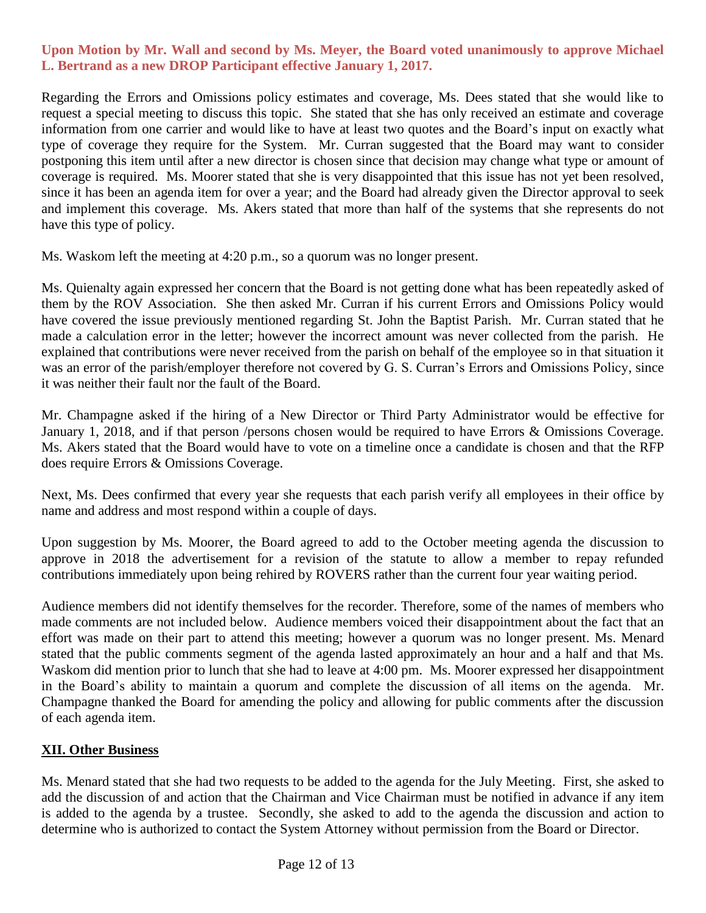### **Upon Motion by Mr. Wall and second by Ms. Meyer, the Board voted unanimously to approve Michael L. Bertrand as a new DROP Participant effective January 1, 2017.**

Regarding the Errors and Omissions policy estimates and coverage, Ms. Dees stated that she would like to request a special meeting to discuss this topic. She stated that she has only received an estimate and coverage information from one carrier and would like to have at least two quotes and the Board's input on exactly what type of coverage they require for the System. Mr. Curran suggested that the Board may want to consider postponing this item until after a new director is chosen since that decision may change what type or amount of coverage is required. Ms. Moorer stated that she is very disappointed that this issue has not yet been resolved, since it has been an agenda item for over a year; and the Board had already given the Director approval to seek and implement this coverage. Ms. Akers stated that more than half of the systems that she represents do not have this type of policy.

Ms. Waskom left the meeting at 4:20 p.m., so a quorum was no longer present.

Ms. Quienalty again expressed her concern that the Board is not getting done what has been repeatedly asked of them by the ROV Association. She then asked Mr. Curran if his current Errors and Omissions Policy would have covered the issue previously mentioned regarding St. John the Baptist Parish. Mr. Curran stated that he made a calculation error in the letter; however the incorrect amount was never collected from the parish. He explained that contributions were never received from the parish on behalf of the employee so in that situation it was an error of the parish/employer therefore not covered by G. S. Curran's Errors and Omissions Policy, since it was neither their fault nor the fault of the Board.

Mr. Champagne asked if the hiring of a New Director or Third Party Administrator would be effective for January 1, 2018, and if that person /persons chosen would be required to have Errors & Omissions Coverage. Ms. Akers stated that the Board would have to vote on a timeline once a candidate is chosen and that the RFP does require Errors & Omissions Coverage.

Next, Ms. Dees confirmed that every year she requests that each parish verify all employees in their office by name and address and most respond within a couple of days.

Upon suggestion by Ms. Moorer, the Board agreed to add to the October meeting agenda the discussion to approve in 2018 the advertisement for a revision of the statute to allow a member to repay refunded contributions immediately upon being rehired by ROVERS rather than the current four year waiting period.

Audience members did not identify themselves for the recorder. Therefore, some of the names of members who made comments are not included below. Audience members voiced their disappointment about the fact that an effort was made on their part to attend this meeting; however a quorum was no longer present. Ms. Menard stated that the public comments segment of the agenda lasted approximately an hour and a half and that Ms. Waskom did mention prior to lunch that she had to leave at 4:00 pm. Ms. Moorer expressed her disappointment in the Board's ability to maintain a quorum and complete the discussion of all items on the agenda. Mr. Champagne thanked the Board for amending the policy and allowing for public comments after the discussion of each agenda item.

### **XII. Other Business**

Ms. Menard stated that she had two requests to be added to the agenda for the July Meeting. First, she asked to add the discussion of and action that the Chairman and Vice Chairman must be notified in advance if any item is added to the agenda by a trustee. Secondly, she asked to add to the agenda the discussion and action to determine who is authorized to contact the System Attorney without permission from the Board or Director.